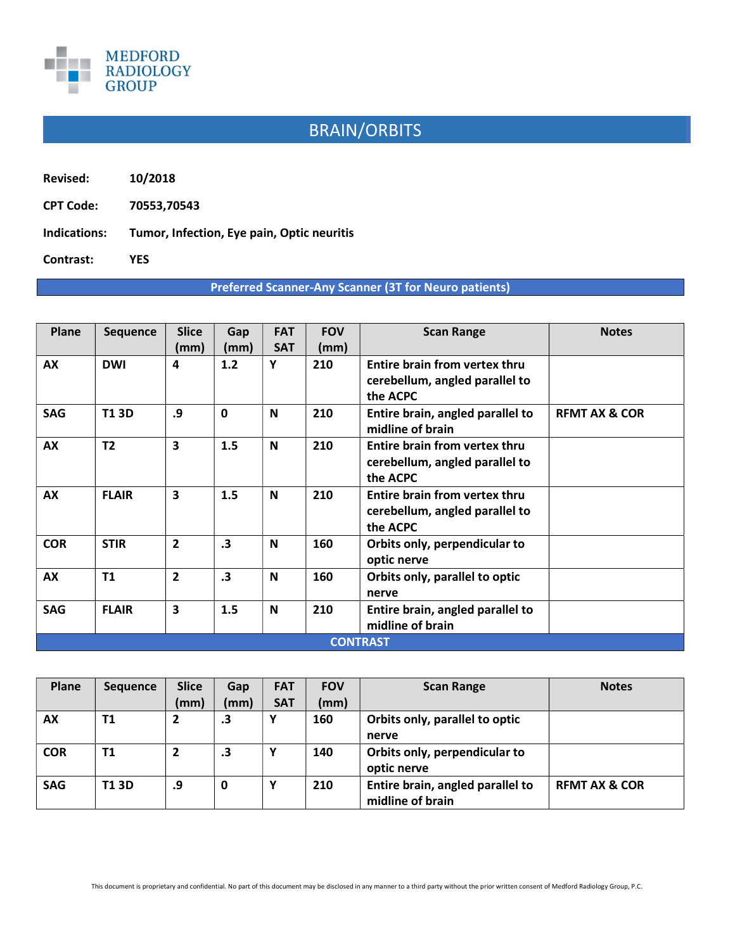

## BRAIN/ORBITS

Revised: 10/2018

CPT Code: 70553,70543

Indications: Tumor, Infection, Eye pain, Optic neuritis

Contrast: YES

## Preferred Scanner-Any Scanner (3T for Neuro patients)

| Plane           | <b>Sequence</b> | <b>Slice</b><br>(mm) | Gap<br>(mm)  | <b>FAT</b><br><b>SAT</b> | <b>FOV</b><br>(mm) | <b>Scan Range</b>                                                           | <b>Notes</b>             |  |  |
|-----------------|-----------------|----------------------|--------------|--------------------------|--------------------|-----------------------------------------------------------------------------|--------------------------|--|--|
| AX              | <b>DWI</b>      | 4                    | 1.2          | Υ                        | 210                | Entire brain from vertex thru<br>cerebellum, angled parallel to<br>the ACPC |                          |  |  |
| <b>SAG</b>      | <b>T13D</b>     | .9                   | $\mathbf{0}$ | N                        | 210                | Entire brain, angled parallel to<br>midline of brain                        | <b>RFMT AX &amp; COR</b> |  |  |
| AX              | T <sub>2</sub>  | 3                    | 1.5          | N                        | 210                | Entire brain from vertex thru<br>cerebellum, angled parallel to<br>the ACPC |                          |  |  |
| AX              | <b>FLAIR</b>    | 3                    | 1.5          | N                        | 210                | Entire brain from vertex thru<br>cerebellum, angled parallel to<br>the ACPC |                          |  |  |
| <b>COR</b>      | <b>STIR</b>     | $\overline{2}$       | $\cdot$ 3    | N                        | 160                | Orbits only, perpendicular to<br>optic nerve                                |                          |  |  |
| AX              | T1              | $\overline{2}$       | $\cdot$ 3    | N                        | 160                | Orbits only, parallel to optic<br>nerve                                     |                          |  |  |
| <b>SAG</b>      | <b>FLAIR</b>    | 3                    | 1.5          | N                        | 210                | Entire brain, angled parallel to<br>midline of brain                        |                          |  |  |
| <b>CONTRAST</b> |                 |                      |              |                          |                    |                                                                             |                          |  |  |

| Plane      | <b>Sequence</b> | <b>Slice</b>   | Gap       | <b>FAT</b> | <b>FOV</b> | <b>Scan Range</b>                                    | <b>Notes</b>             |
|------------|-----------------|----------------|-----------|------------|------------|------------------------------------------------------|--------------------------|
|            |                 | (mm)           | (mm)      | <b>SAT</b> | (mm)       |                                                      |                          |
| AX         | T1              | $\overline{2}$ | $\cdot$ 3 |            | 160        | Orbits only, parallel to optic<br>nerve              |                          |
| <b>COR</b> | Τ1              | $\overline{2}$ | .3        |            | 140        | Orbits only, perpendicular to<br>optic nerve         |                          |
| <b>SAG</b> | T1 3D           | .9             | 0         |            | 210        | Entire brain, angled parallel to<br>midline of brain | <b>RFMT AX &amp; COR</b> |